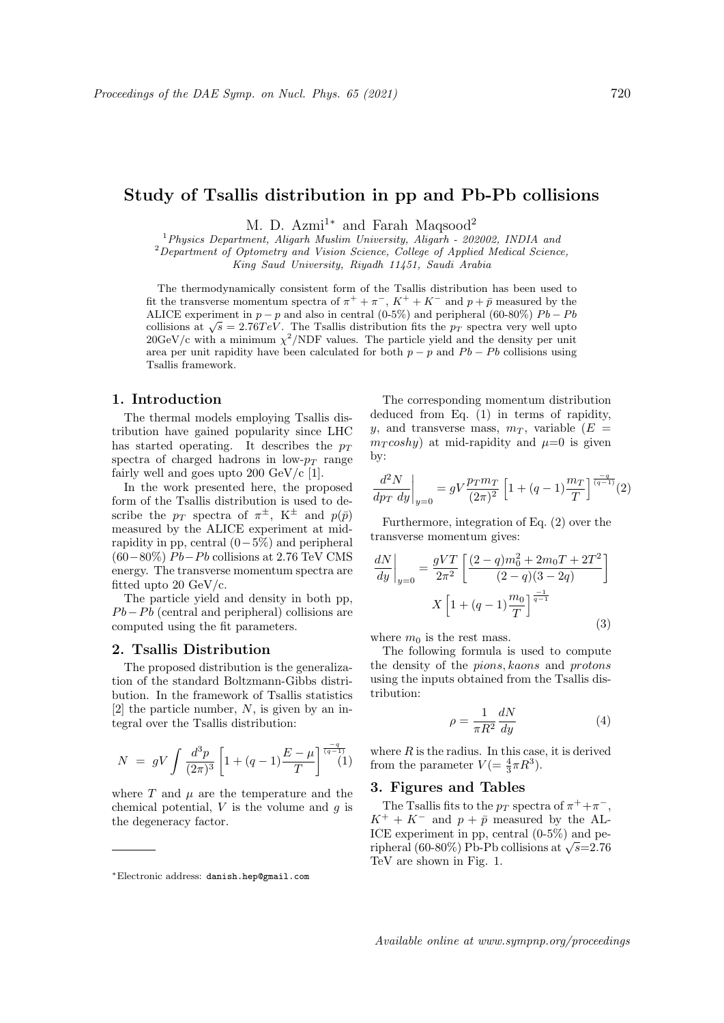# Study of Tsallis distribution in pp and Pb-Pb collisions

M. D. Azmi<sup>1\*</sup> and Farah Maqsood<sup>2</sup><sup>1</sup> *Physics Department, Aligarh Muslim University, Aligarh - 202002, INDIA and* <sup>1</sup>*Physics Department, Aligarh Muslim University, Aligarh - 202002, INDIA and* <sup>2</sup>*Department of Optometry and Vision Science, College of Applied Medical Science, King Saud University, Riyadh 11451, Saudi Arabia*

The thermodynamically consistent form of the Tsallis distribution has been used to fit the transverse momentum spectra of  $\pi^+ + \pi^-$ ,  $K^+ + K^-$  and  $p + \bar{p}$  measured by the ALICE experiment in  $p - p$  and also in central (0-5%) and peripheral (60-80%)  $Pb - Pb$ collisions at  $\sqrt{s} = 2.76 TeV$ . The Tsallis distribution fits the *p<sub>T</sub>* spectra very well upto  $20\text{GeV/c}$  with a minimum  $\chi^2/\text{NDF}$  values. The particle yield and the density per unit area per unit rapidity have been calculated for both  $p - p$  and  $Pb - Pb$  collisions using Tsallis framework.

### 1. Introduction

The thermal models employing Tsallis distribution have gained popularity since LHC has started operating. It describes the  $p_T$ spectra of charged hadrons in low- $p_T$  range fairly well and goes upto  $200 \text{ GeV/c}$  [1].

In the work presented here, the proposed form of the Tsallis distribution is used to describe the  $p_T$  spectra of  $\pi^{\pm}$ , K<sup> $\pm$ </sup> and  $p(\bar{p})$ measured by the ALICE experiment at midrapidity in pp, central  $(0-5\%)$  and peripheral  $(60-80\%) Pb-Pb$  collisions at 2.76 TeV CMS energy. The transverse momentum spectra are fitted upto 20 GeV/c.

The particle yield and density in both pp,  $Pb-Pb$  (central and peripheral) collisions are computed using the fit parameters.

#### 2. Tsallis Distribution

The proposed distribution is the generalization of the standard Boltzmann-Gibbs distribution. In the framework of Tsallis statistics [2] the particle number, *N*, is given by an integral over the Tsallis distribution:

$$
N = gV \int \frac{d^3 p}{(2\pi)^3} \left[ 1 + (q-1) \frac{E - \mu}{T} \right]^{\frac{-q}{(q-1)}}(1)
$$

where  $T$  and  $\mu$  are the temperature and the chemical potential, *V* is the volume and *g* is the degeneracy factor.

The corresponding momentum distribution deduced from Eq. (1) in terms of rapidity, *y*, and transverse mass,  $m<sub>T</sub>$ , variable ( $E =$  $m_T \cos hy$  at mid-rapidity and  $\mu=0$  is given by:

$$
\left. \frac{d^2 N}{dp_T \, dy} \right|_{y=0} = gV \frac{p_T m_T}{(2\pi)^2} \left[ 1 + (q-1) \frac{m_T}{T} \right]^\frac{-q}{(q-1)}(2)
$$

Furthermore, integration of Eq. (2) over the transverse momentum gives:

$$
\frac{dN}{dy}\bigg|_{y=0} = \frac{gVT}{2\pi^2} \left[ \frac{(2-q)m_0^2 + 2m_0T + 2T^2}{(2-q)(3-2q)} \right]
$$

$$
X \left[ 1 + (q-1)\frac{m_0}{T} \right]^{\frac{-1}{q-1}}
$$
(3)

where  $m_0$  is the rest mass.

The following formula is used to compute the density of the *pions, kaons* and *protons* using the inputs obtained from the Tsallis distribution:

$$
\rho = \frac{1}{\pi R^2} \frac{dN}{dy} \tag{4}
$$

where  $R$  is the radius. In this case, it is derived from the parameter  $V = \frac{4}{3}\pi R^3$ .

# 3. Figures and Tables

The Tsallis fits to the  $p_T$  spectra of  $\pi^+ + \pi^-$ ,  $K^+ + K^-$  and  $p + \bar{p}$  measured by the AL-ICE experiment in pp, central (0-5%) and peripheral (60-80%) Pb-Pb collisions at  $\sqrt{s}=2.76$ TeV are shown in Fig. 1.

<sup>⇤</sup>Electronic address: danish.hep@gmail.com